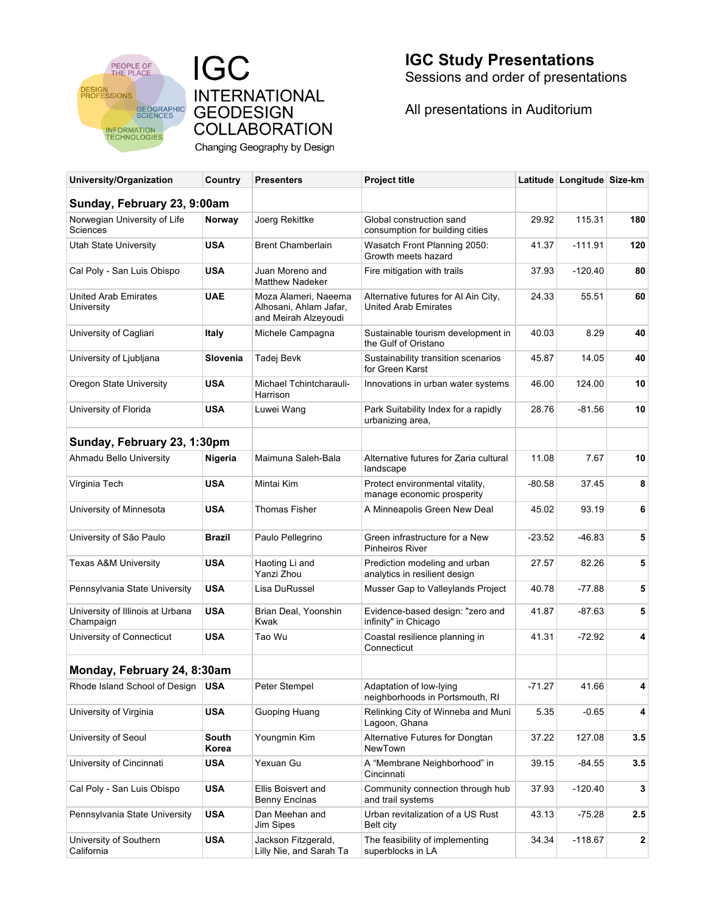

**IGC INTERNATIONAL GEODESIGN COLLABORATION** Changing Geography by Design **IGC Study Presentations** Sessions and order of presentations

All presentations in Auditorium

| University/Organization                       | Country        | <b>Presenters</b>                                                      | <b>Project title</b>                                                |          | Latitude Longitude Size-km |     |
|-----------------------------------------------|----------------|------------------------------------------------------------------------|---------------------------------------------------------------------|----------|----------------------------|-----|
| Sunday, February 23, 9:00am                   |                |                                                                        |                                                                     |          |                            |     |
| Norwegian University of Life<br>Sciences      | Norway         | Joerg Rekittke                                                         | Global construction sand<br>consumption for building cities         | 29.92    | 115.31                     | 180 |
| <b>Utah State University</b>                  | <b>USA</b>     | <b>Brent Chamberlain</b>                                               | Wasatch Front Planning 2050:<br>Growth meets hazard                 |          | $-111.91$                  | 120 |
| Cal Poly - San Luis Obispo                    | <b>USA</b>     | Juan Moreno and<br><b>Matthew Nadeker</b>                              | Fire mitigation with trails                                         | 37.93    | $-120.40$                  | 80  |
| <b>United Arab Emirates</b><br>University     | <b>UAE</b>     | Moza Alameri, Naeema<br>Alhosani, Ahlam Jafar,<br>and Meirah Alzeyoudi | Alternative futures for Al Ain City,<br><b>United Arab Emirates</b> | 24.33    | 55.51                      | 60  |
| University of Cagliari                        | Italy          | Michele Campagna                                                       | Sustainable tourism development in<br>the Gulf of Oristano          | 40.03    | 8.29                       | 40  |
| University of Ljubljana                       | Slovenia       | Tadej Bevk                                                             | Sustainability transition scenarios<br>for Green Karst              | 45.87    | 14.05                      | 40  |
| Oregon State University                       | <b>USA</b>     | Michael Tchintcharauli-<br>Harrison                                    | Innovations in urban water systems                                  | 46.00    | 124.00                     | 10  |
| University of Florida                         | <b>USA</b>     | Luwei Wang                                                             | Park Suitability Index for a rapidly<br>urbanizing area,            | 28.76    | $-81.56$                   | 10  |
| Sunday, February 23, 1:30pm                   |                |                                                                        |                                                                     |          |                            |     |
| Ahmadu Bello University                       | Nigeria        | Maimuna Saleh-Bala                                                     | Alternative futures for Zaria cultural<br>landscape                 | 11.08    | 7.67                       | 10  |
| Virginia Tech                                 | <b>USA</b>     | Mintai Kim                                                             | Protect environmental vitality,<br>manage economic prosperity       | -80.58   | 37.45                      | 8   |
| University of Minnesota                       | <b>USA</b>     | <b>Thomas Fisher</b>                                                   | A Minneapolis Green New Deal                                        | 45.02    | 93.19                      | 6   |
| University of São Paulo                       | Brazil         | Paulo Pellegrino                                                       | Green infrastructure for a New<br><b>Pinheiros River</b>            | -23.52   | $-46.83$                   | 5   |
| Texas A&M University                          | <b>USA</b>     | Haoting Li and<br>Yanzi Zhou                                           | Prediction modeling and urban<br>analytics in resilient design      | 27.57    | 82.26                      | 5   |
| Pennsylvania State University                 | <b>USA</b>     | Lisa DuRussel                                                          | Musser Gap to Valleylands Project                                   | 40.78    | $-77.88$                   | 5   |
| University of Illinois at Urbana<br>Champaign | <b>USA</b>     | Brian Deal, Yoonshin<br>Kwak                                           | Evidence-based design: "zero and<br>infinity" in Chicago            | 41.87    | -87.63                     | 5   |
| University of Connecticut                     | <b>USA</b>     |                                                                        | Coastal resilience planning in<br>Connecticut                       | 41.31    | $-72.92$                   | 4   |
| Monday, February 24, 8:30am                   |                |                                                                        |                                                                     |          |                            |     |
| Rhode Island School of Design   USA           |                | Peter Stempel                                                          | Adaptation of low-lying<br>neighborhoods in Portsmouth, RI          | $-71.27$ | 41.66                      | 4   |
| University of Virginia                        | <b>USA</b>     | Guoping Huang                                                          | Relinking City of Winneba and Muni<br>Lagoon, Ghana                 | 5.35     | $-0.65$                    | 4   |
| University of Seoul                           | South<br>Korea | Youngmin Kim                                                           | Alternative Futures for Dongtan<br>NewTown                          | 37.22    | 127.08                     | 3.5 |
| University of Cincinnati                      | <b>USA</b>     | Yexuan Gu                                                              | A "Membrane Neighborhood" in<br>Cincinnati                          | 39.15    | $-84.55$                   | 3.5 |
| Cal Poly - San Luis Obispo                    | <b>USA</b>     | Ellis Boisvert and<br><b>Benny Encinas</b>                             | Community connection through hub<br>and trail systems               | 37.93    | $-120.40$                  | 3   |
| Pennsylvania State University                 | <b>USA</b>     | Dan Meehan and<br>Jim Sipes                                            | Urban revitalization of a US Rust<br>Belt city                      | 43.13    | $-75.28$                   | 2.5 |
| University of Southern<br>California          | <b>USA</b>     | Jackson Fitzgerald,<br>Lilly Nie, and Sarah Ta                         | The feasibility of implementing<br>superblocks in LA                | 34.34    | $-118.67$                  | 2   |